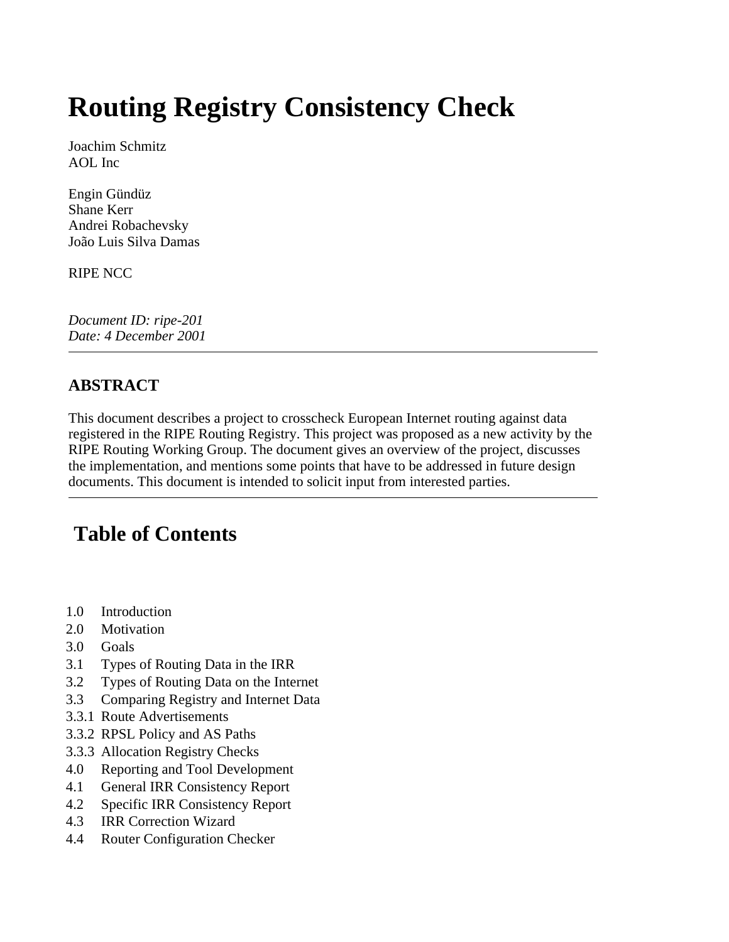# **Routing Registry Consistency Check**

Joachim Schmitz AOL Inc

Engin Gündüz Shane Kerr Andrei Robachevsky João Luis Silva Damas

RIPE NCC

*Document ID: ripe-201 Date: 4 December 2001* 

### **ABSTRACT**

This document describes a project to crosscheck European Internet routing against data registered in the RIPE Routing Registry. This project was proposed as a new activity by the RIPE Routing Working Group. The document gives an overview of the project, discusses the implementation, and mentions some points that have to be addressed in future design documents. This document is intended to solicit input from interested parties.

# **Table of Contents**

- 1.0 Introduction
- 2.0 Motivation
- 3.0 Goals
- 3.1 Types of Routing Data in the IRR
- 3.2 Types of Routing Data on the Internet
- 3.3 Comparing Registry and Internet Data
- 3.3.1 Route Advertisements
- 3.3.2 RPSL Policy and AS Paths
- 3.3.3 Allocation Registry Checks
- 4.0 Reporting and Tool Development
- 4.1 General IRR Consistency Report
- 4.2 Specific IRR Consistency Report
- 4.3 IRR Correction Wizard
- 4.4 Router Configuration Checker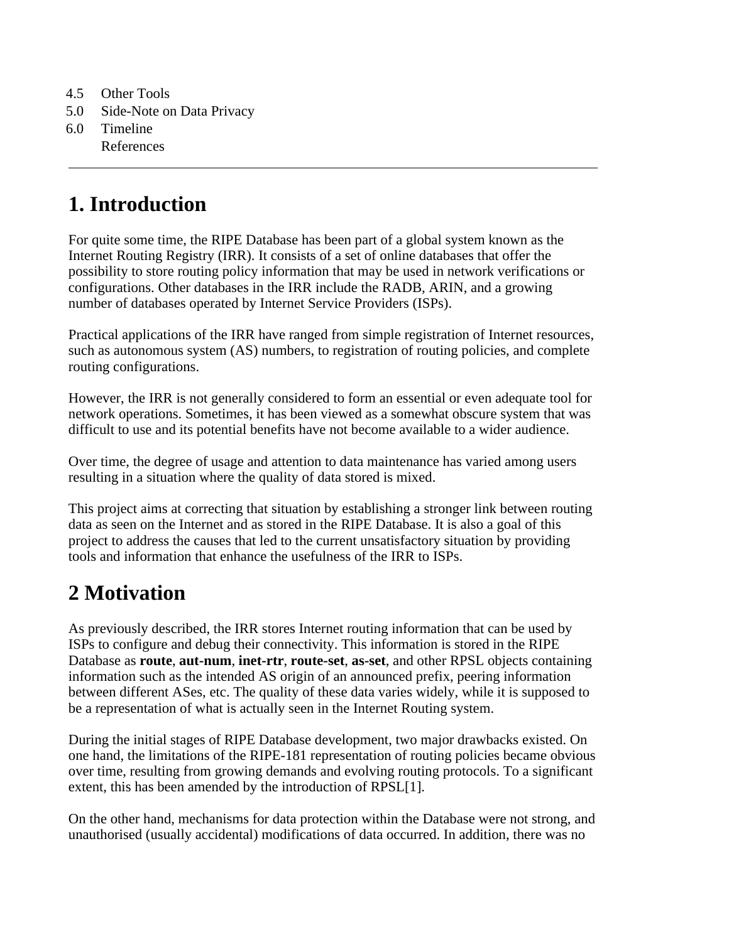- 4.5 Other Tools
- 5.0 Side-Note on Data Privacy
- 6.0 Timeline References

# **1. Introduction**

For quite some time, the RIPE Database has been part of a global system known as the Internet Routing Registry (IRR). It consists of a set of online databases that offer the possibility to store routing policy information that may be used in network verifications or configurations. Other databases in the IRR include the RADB, ARIN, and a growing number of databases operated by Internet Service Providers (ISPs).

Practical applications of the IRR have ranged from simple registration of Internet resources, such as autonomous system (AS) numbers, to registration of routing policies, and complete routing configurations.

However, the IRR is not generally considered to form an essential or even adequate tool for network operations. Sometimes, it has been viewed as a somewhat obscure system that was difficult to use and its potential benefits have not become available to a wider audience.

Over time, the degree of usage and attention to data maintenance has varied among users resulting in a situation where the quality of data stored is mixed.

This project aims at correcting that situation by establishing a stronger link between routing data as seen on the Internet and as stored in the RIPE Database. It is also a goal of this project to address the causes that led to the current unsatisfactory situation by providing tools and information that enhance the usefulness of the IRR to ISPs.

# **2 Motivation**

As previously described, the IRR stores Internet routing information that can be used by ISPs to configure and debug their connectivity. This information is stored in the RIPE Database as **route**, **aut-num**, **inet-rtr**, **route-set**, **as-set**, and other RPSL objects containing information such as the intended AS origin of an announced prefix, peering information between different ASes, etc. The quality of these data varies widely, while it is supposed to be a representation of what is actually seen in the Internet Routing system.

During the initial stages of RIPE Database development, two major drawbacks existed. On one hand, the limitations of the RIPE-181 representation of routing policies became obvious over time, resulting from growing demands and evolving routing protocols. To a significant extent, this has been amended by the introduction of RPSL[1].

On the other hand, mechanisms for data protection within the Database were not strong, and unauthorised (usually accidental) modifications of data occurred. In addition, there was no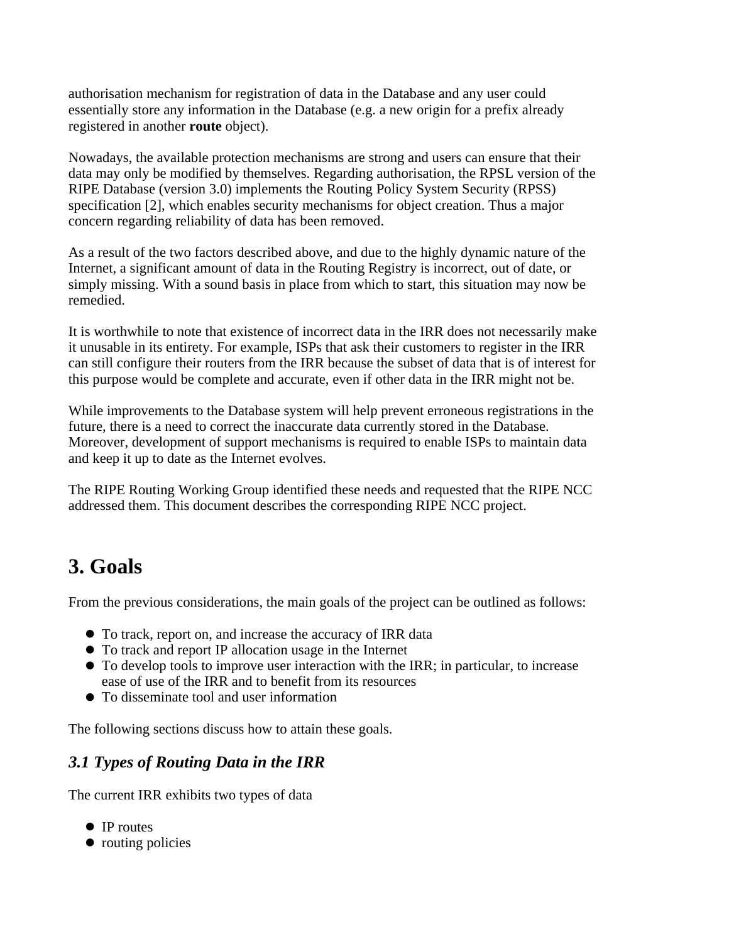authorisation mechanism for registration of data in the Database and any user could essentially store any information in the Database (e.g. a new origin for a prefix already registered in another **route** object).

Nowadays, the available protection mechanisms are strong and users can ensure that their data may only be modified by themselves. Regarding authorisation, the RPSL version of the RIPE Database (version 3.0) implements the Routing Policy System Security (RPSS) specification [2], which enables security mechanisms for object creation. Thus a major concern regarding reliability of data has been removed.

As a result of the two factors described above, and due to the highly dynamic nature of the Internet, a significant amount of data in the Routing Registry is incorrect, out of date, or simply missing. With a sound basis in place from which to start, this situation may now be remedied.

It is worthwhile to note that existence of incorrect data in the IRR does not necessarily make it unusable in its entirety. For example, ISPs that ask their customers to register in the IRR can still configure their routers from the IRR because the subset of data that is of interest for this purpose would be complete and accurate, even if other data in the IRR might not be.

While improvements to the Database system will help prevent erroneous registrations in the future, there is a need to correct the inaccurate data currently stored in the Database. Moreover, development of support mechanisms is required to enable ISPs to maintain data and keep it up to date as the Internet evolves.

The RIPE Routing Working Group identified these needs and requested that the RIPE NCC addressed them. This document describes the corresponding RIPE NCC project.

# **3. Goals**

From the previous considerations, the main goals of the project can be outlined as follows:

- To track, report on, and increase the accuracy of IRR data
- To track and report IP allocation usage in the Internet
- To develop tools to improve user interaction with the IRR; in particular, to increase ease of use of the IRR and to benefit from its resources
- To disseminate tool and user information

The following sections discuss how to attain these goals.

### *3.1 Types of Routing Data in the IRR*

The current IRR exhibits two types of data

- IP routes
- $\bullet$  routing policies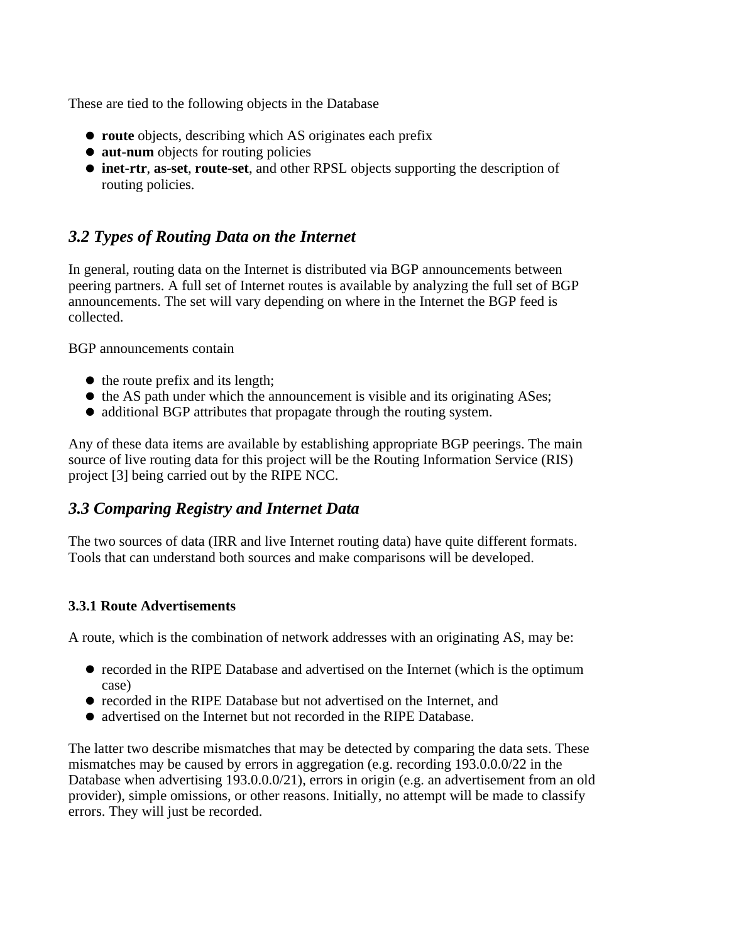These are tied to the following objects in the Database

- **route** objects, describing which AS originates each prefix
- **aut-num** objects for routing policies
- **inet-rtr**, **as-set**, **route-set**, and other RPSL objects supporting the description of routing policies.

### *3.2 Types of Routing Data on the Internet*

In general, routing data on the Internet is distributed via BGP announcements between peering partners. A full set of Internet routes is available by analyzing the full set of BGP announcements. The set will vary depending on where in the Internet the BGP feed is collected.

BGP announcements contain

- $\bullet$  the route prefix and its length;
- $\bullet$  the AS path under which the announcement is visible and its originating ASes;
- additional BGP attributes that propagate through the routing system.

Any of these data items are available by establishing appropriate BGP peerings. The main source of live routing data for this project will be the Routing Information Service (RIS) project [3] being carried out by the RIPE NCC.

### *3.3 Comparing Registry and Internet Data*

The two sources of data (IRR and live Internet routing data) have quite different formats. Tools that can understand both sources and make comparisons will be developed.

#### **3.3.1 Route Advertisements**

A route, which is the combination of network addresses with an originating AS, may be:

- recorded in the RIPE Database and advertised on the Internet (which is the optimum case)
- recorded in the RIPE Database but not advertised on the Internet, and
- advertised on the Internet but not recorded in the RIPE Database.

The latter two describe mismatches that may be detected by comparing the data sets. These mismatches may be caused by errors in aggregation (e.g. recording 193.0.0.0/22 in the Database when advertising 193.0.0.0/21), errors in origin (e.g. an advertisement from an old provider), simple omissions, or other reasons. Initially, no attempt will be made to classify errors. They will just be recorded.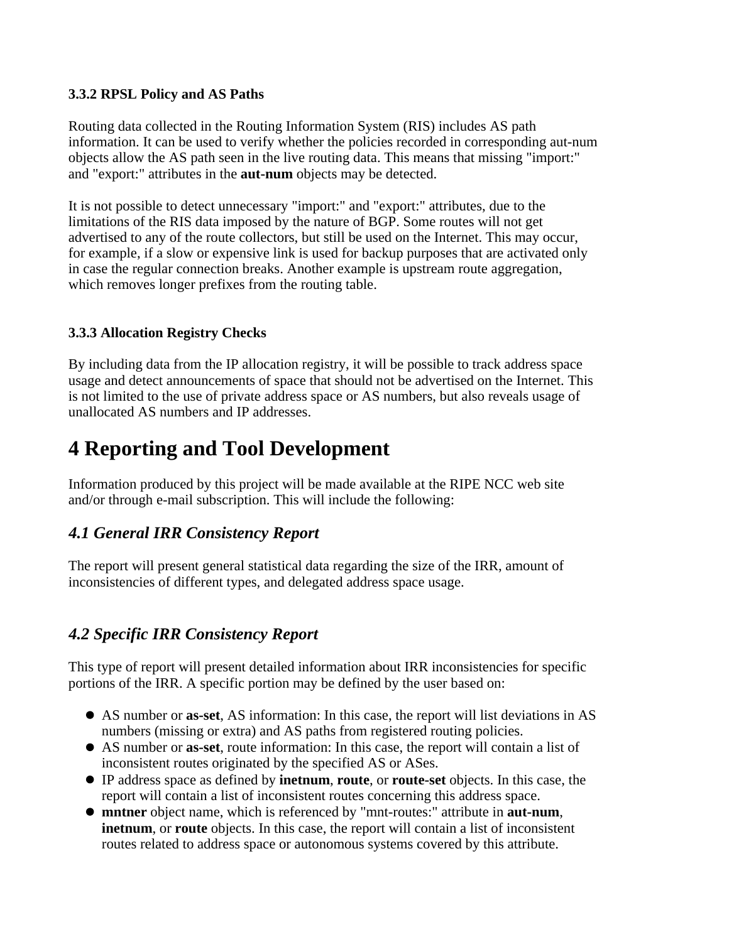#### **3.3.2 RPSL Policy and AS Paths**

Routing data collected in the Routing Information System (RIS) includes AS path information. It can be used to verify whether the policies recorded in corresponding aut-num objects allow the AS path seen in the live routing data. This means that missing "import:" and "export:" attributes in the **aut-num** objects may be detected.

It is not possible to detect unnecessary "import:" and "export:" attributes, due to the limitations of the RIS data imposed by the nature of BGP. Some routes will not get advertised to any of the route collectors, but still be used on the Internet. This may occur, for example, if a slow or expensive link is used for backup purposes that are activated only in case the regular connection breaks. Another example is upstream route aggregation, which removes longer prefixes from the routing table.

#### **3.3.3 Allocation Registry Checks**

By including data from the IP allocation registry, it will be possible to track address space usage and detect announcements of space that should not be advertised on the Internet. This is not limited to the use of private address space or AS numbers, but also reveals usage of unallocated AS numbers and IP addresses.

# **4 Reporting and Tool Development**

Information produced by this project will be made available at the RIPE NCC web site and/or through e-mail subscription. This will include the following:

#### *4.1 General IRR Consistency Report*

The report will present general statistical data regarding the size of the IRR, amount of inconsistencies of different types, and delegated address space usage.

### *4.2 Specific IRR Consistency Report*

This type of report will present detailed information about IRR inconsistencies for specific portions of the IRR. A specific portion may be defined by the user based on:

- AS number or **as-set**, AS information: In this case, the report will list deviations in AS numbers (missing or extra) and AS paths from registered routing policies.
- AS number or **as-set**, route information: In this case, the report will contain a list of inconsistent routes originated by the specified AS or ASes.
- IP address space as defined by **inetnum**, **route**, or **route-set** objects. In this case, the report will contain a list of inconsistent routes concerning this address space.
- **mntner** object name, which is referenced by "mnt-routes:" attribute in **aut-num**, **inetnum**, or **route** objects. In this case, the report will contain a list of inconsistent routes related to address space or autonomous systems covered by this attribute.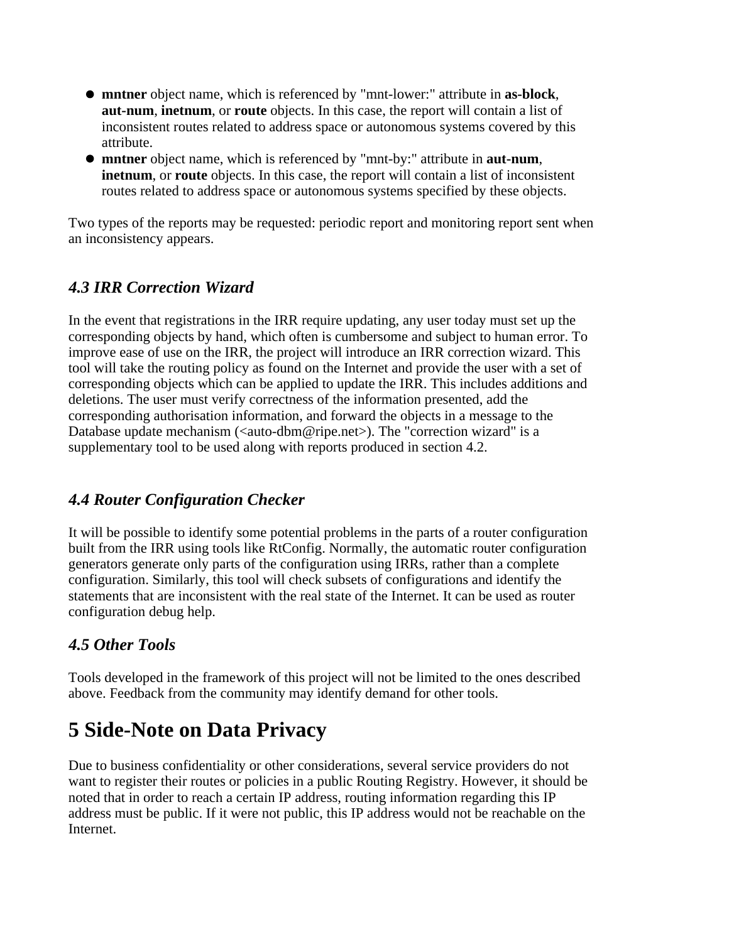- **mntner** object name, which is referenced by "mnt-lower:" attribute in **as-block**, **aut-num**, **inetnum**, or **route** objects. In this case, the report will contain a list of inconsistent routes related to address space or autonomous systems covered by this attribute.
- **mntner** object name, which is referenced by "mnt-by:" attribute in **aut-num**, **inetnum**, or **route** objects. In this case, the report will contain a list of inconsistent routes related to address space or autonomous systems specified by these objects.

Two types of the reports may be requested: periodic report and monitoring report sent when an inconsistency appears.

### *4.3 IRR Correction Wizard*

In the event that registrations in the IRR require updating, any user today must set up the corresponding objects by hand, which often is cumbersome and subject to human error. To improve ease of use on the IRR, the project will introduce an IRR correction wizard. This tool will take the routing policy as found on the Internet and provide the user with a set of corresponding objects which can be applied to update the IRR. This includes additions and deletions. The user must verify correctness of the information presented, add the corresponding authorisation information, and forward the objects in a message to the Database update mechanism (<auto-dbm@ripe.net>). The "correction wizard" is a supplementary tool to be used along with reports produced in section 4.2.

### *4.4 Router Configuration Checker*

It will be possible to identify some potential problems in the parts of a router configuration built from the IRR using tools like RtConfig. Normally, the automatic router configuration generators generate only parts of the configuration using IRRs, rather than a complete configuration. Similarly, this tool will check subsets of configurations and identify the statements that are inconsistent with the real state of the Internet. It can be used as router configuration debug help.

### *4.5 Other Tools*

Tools developed in the framework of this project will not be limited to the ones described above. Feedback from the community may identify demand for other tools.

# **5 Side-Note on Data Privacy**

Due to business confidentiality or other considerations, several service providers do not want to register their routes or policies in a public Routing Registry. However, it should be noted that in order to reach a certain IP address, routing information regarding this IP address must be public. If it were not public, this IP address would not be reachable on the Internet.